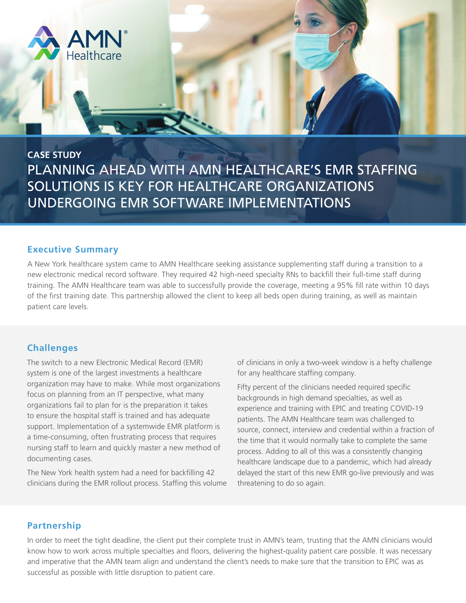# **CASE STUDY** PLANNING AHEAD WITH AMN HEALTHCARE'S EMR STAFFING SOLUTIONS IS KEY FOR HEALTHCARE ORGANIZATIONS UNDERGOING EMR SOFTWARE IMPLEMENTATIONS

#### **Executive Summary**

AMN **Albert 11 Strate** 

A New York healthcare system came to AMN Healthcare seeking assistance supplementing staff during a transition to a new electronic medical record software. They required 42 high-need specialty RNs to backfill their full-time staff during training. The AMN Healthcare team was able to successfully provide the coverage, meeting a 95% fill rate within 10 days of the first training date. This partnership allowed the client to keep all beds open during training, as well as maintain patient care levels.

## **Challenges**

The switch to a new Electronic Medical Record (EMR) system is one of the largest investments a healthcare organization may have to make. While most organizations focus on planning from an IT perspective, what many organizations fail to plan for is the preparation it takes to ensure the hospital staff is trained and has adequate support. Implementation of a systemwide EMR platform is a time-consuming, often frustrating process that requires nursing staff to learn and quickly master a new method of documenting cases.

The New York health system had a need for backfilling 42 clinicians during the EMR rollout process. Staffing this volume of clinicians in only a two-week window is a hefty challenge for any healthcare staffing company.

Fifty percent of the clinicians needed required specific backgrounds in high demand specialties, as well as experience and training with EPIC and treating COVID-19 patients. The AMN Healthcare team was challenged to source, connect, interview and credential within a fraction of the time that it would normally take to complete the same process. Adding to all of this was a consistently changing healthcare landscape due to a pandemic, which had already delayed the start of this new EMR go-live previously and was threatening to do so again.

## **Partnership**

In order to meet the tight deadline, the client put their complete trust in AMN's team, trusting that the AMN clinicians would know how to work across multiple specialties and floors, delivering the highest-quality patient care possible. It was necessary and imperative that the AMN team align and understand the client's needs to make sure that the transition to EPIC was as successful as possible with little disruption to patient care.